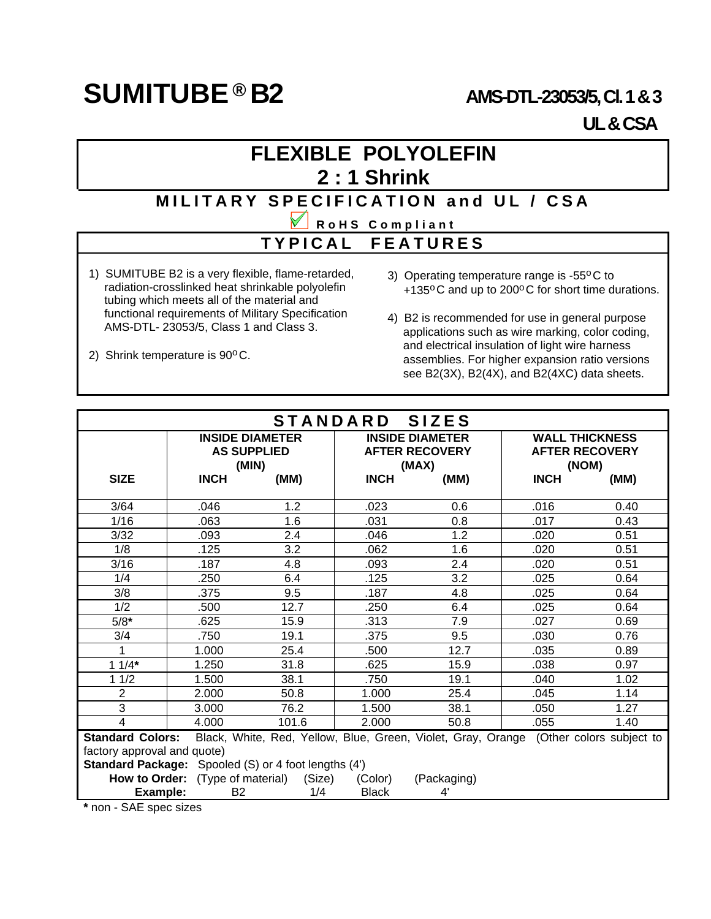## **SUMITUBE**  $\textcircled{B}$  **B2**  $\textcircled{AMS-DT}$ -23053/5, Cl. 1 & 3

# **UL & CSA**

## **FLEXIBLE POLYOLEFIN 2 : 1 Shrink**

#### **MILITARY SPECIFICATION and UL / CSA**

#### **RoHS Compliant**

#### **TYPICAL FEATURES**

- 1) SUMITUBE B2 is a very flexible, flame-retarded, radiation-crosslinked heat shrinkable polyolefin tubing which meets all of the material and functional requirements of Military Specification AMS-DTL- 23053/5, Class 1 and Class 3.
- 2) Shrink temperature is  $90^{\circ}$ C.
- 3) Operating temperature range is -55°C to +135°C and up to 200°C for short time durations.
- 4) B2 is recommended for use in general purpose applications such as wire marking, color coding, and electrical insulation of light wire harness assemblies. For higher expansion ratio versions see B2(3X), B2(4X), and B2(4XC) data sheets.

| STANDARD SIZES                                                                                                   |                                         |                        |                                |                        |                                |                       |  |  |
|------------------------------------------------------------------------------------------------------------------|-----------------------------------------|------------------------|--------------------------------|------------------------|--------------------------------|-----------------------|--|--|
|                                                                                                                  |                                         | <b>INSIDE DIAMETER</b> |                                | <b>INSIDE DIAMETER</b> |                                | <b>WALL THICKNESS</b> |  |  |
|                                                                                                                  | <b>AS SUPPLIED</b><br>(MIN)             |                        | <b>AFTER RECOVERY</b><br>(MAX) |                        | <b>AFTER RECOVERY</b><br>(NOM) |                       |  |  |
| <b>SIZE</b>                                                                                                      | <b>INCH</b>                             | (MM)                   | <b>INCH</b>                    | (MM)                   | <b>INCH</b>                    | (MM)                  |  |  |
|                                                                                                                  |                                         |                        |                                |                        |                                |                       |  |  |
| 3/64                                                                                                             | .046                                    | 1.2                    | .023                           | 0.6                    | .016                           | 0.40                  |  |  |
| 1/16                                                                                                             | .063                                    | 1.6                    | .031                           | 0.8                    | .017                           | 0.43                  |  |  |
| 3/32                                                                                                             | .093                                    | 2.4                    | .046                           | 1.2                    | .020                           | 0.51                  |  |  |
| 1/8                                                                                                              | .125                                    | 3.2                    | .062                           | 1.6                    | .020                           | 0.51                  |  |  |
| 3/16                                                                                                             | .187                                    | 4.8                    | .093                           | 2.4                    | .020                           | 0.51                  |  |  |
| 1/4                                                                                                              | .250                                    | 6.4                    | .125                           | 3.2                    | .025                           | 0.64                  |  |  |
| 3/8                                                                                                              | .375                                    | 9.5                    | .187                           | 4.8                    | .025                           | 0.64                  |  |  |
| 1/2                                                                                                              | .500                                    | 12.7                   | .250                           | 6.4                    | .025                           | 0.64                  |  |  |
| $5/8*$                                                                                                           | .625                                    | 15.9                   | .313                           | 7.9                    | .027                           | 0.69                  |  |  |
| 3/4                                                                                                              | .750                                    | 19.1                   | .375                           | 9.5                    | .030                           | 0.76                  |  |  |
| 1                                                                                                                | 1.000                                   | 25.4                   | .500                           | 12.7                   | .035                           | 0.89                  |  |  |
| $11/4*$                                                                                                          | 1.250                                   | 31.8                   | .625                           | 15.9                   | .038                           | 0.97                  |  |  |
| 11/2                                                                                                             | 1.500                                   | 38.1                   | .750                           | 19.1                   | .040                           | 1.02                  |  |  |
| 2                                                                                                                | 2.000                                   | 50.8                   | 1.000                          | 25.4                   | .045                           | 1.14                  |  |  |
| 3                                                                                                                | 3.000                                   | 76.2                   | 1.500                          | 38.1                   | .050                           | 1.27                  |  |  |
| 4                                                                                                                | 4.000                                   | 101.6                  | 2.000                          | 50.8                   | .055                           | 1.40                  |  |  |
| <b>Standard Colors:</b><br>Black, White, Red, Yellow, Blue, Green, Violet, Gray, Orange (Other colors subject to |                                         |                        |                                |                        |                                |                       |  |  |
| factory approval and quote)                                                                                      |                                         |                        |                                |                        |                                |                       |  |  |
| <b>Standard Package:</b> Spooled (S) or 4 foot lengths (4')                                                      |                                         |                        |                                |                        |                                |                       |  |  |
|                                                                                                                  | <b>How to Order:</b> (Type of material) | (Size)                 | (Color)                        | (Packaging)            |                                |                       |  |  |
| Example:                                                                                                         | B <sub>2</sub>                          | 1/4                    | <b>Black</b>                   | 4'                     |                                |                       |  |  |

**\*** non - SAE spec sizes